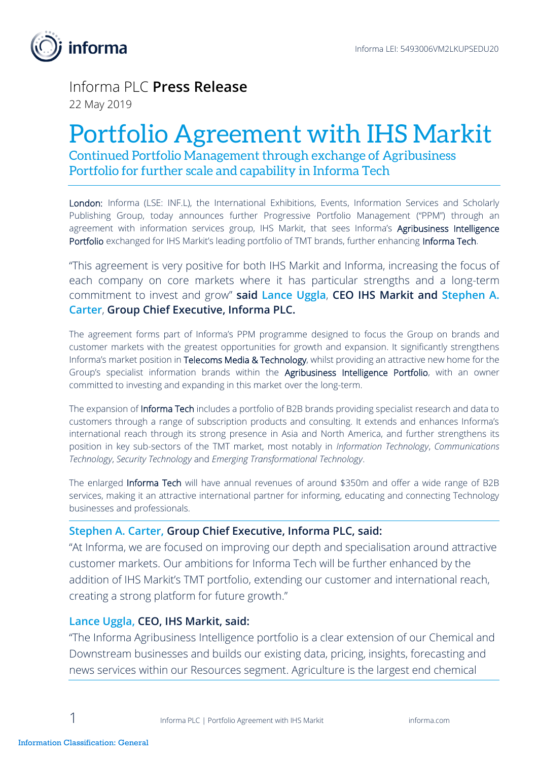

## Informa PLC **Press Release** 22 May 2019

# Portfolio Agreement with IHS Markit

Continued Portfolio Management through exchange of Agribusiness Portfolio for further scale and capability in Informa Tech

London: Informa (LSE: INF.L), the International Exhibitions, Events, Information Services and Scholarly Publishing Group, today announces further Progressive Portfolio Management ("PPM") through an agreement with information services group, IHS Markit, that sees Informa's Agribusiness Intelligence Portfolio exchanged for IHS Markit's leading portfolio of TMT brands, further enhancing Informa Tech.

"This agreement is very positive for both IHS Markit and Informa, increasing the focus of each company on core markets where it has particular strengths and a long-term commitment to invest and grow" **said Lance Uggla**, **CEO IHS Markit and Stephen A. Carter**, **Group Chief Executive, Informa PLC.**

The agreement forms part of Informa's PPM programme designed to focus the Group on brands and customer markets with the greatest opportunities for growth and expansion. It significantly strengthens Informa's market position in Telecoms Media & Technology, whilst providing an attractive new home for the Group's specialist information brands within the Agribusiness Intelligence Portfolio, with an owner committed to investing and expanding in this market over the long-term.

The expansion of Informa Tech includes a portfolio of B2B brands providing specialist research and data to customers through a range of subscription products and consulting. It extends and enhances Informa's international reach through its strong presence in Asia and North America, and further strengthens its position in key sub-sectors of the TMT market, most notably in *Information Technology*, *Communications Technology*, *Security Technology* and *Emerging Transformational Technology*.

The enlarged Informa Tech will have annual revenues of around \$350m and offer a wide range of B2B services, making it an attractive international partner for informing, educating and connecting Technology businesses and professionals.

## **Stephen A. Carter, Group Chief Executive, Informa PLC, said:**

"At Informa, we are focused on improving our depth and specialisation around attractive customer markets. Our ambitions for Informa Tech will be further enhanced by the addition of IHS Markit's TMT portfolio, extending our customer and international reach, creating a strong platform for future growth."

## **Lance Uggla, CEO, IHS Markit, said:**

"The Informa Agribusiness Intelligence portfolio is a clear extension of our Chemical and Downstream businesses and builds our existing data, pricing, insights, forecasting and news services within our Resources segment. Agriculture is the largest end chemical